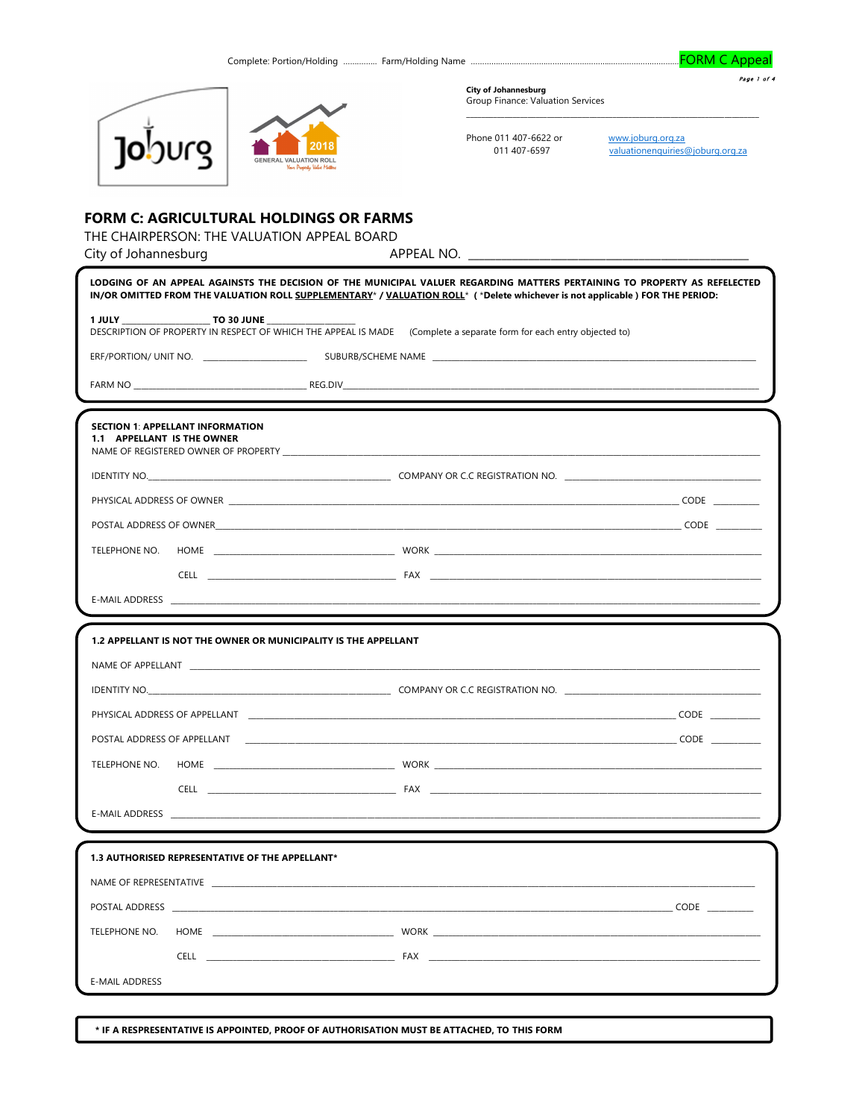Complete: Portion/Holding ............... Farm/Holding Name ......

**FORM C Appeal** 

Page 1 of 4



**City of Johannesburg** Group Finance: Valuation Services

Phone 011 407-6622 or www.joburg.org.za<br>011 407-6597 valuationenquiries@joburg.org.za

# **FORM C: AGRICULTURAL HOLDINGS OR FARMS**

THE CHAIRPERSON: THE VALUATION APPEAL BOARD

| City of Johannesburg                                                  |                                                                                                                                                                                                                                                                                   |
|-----------------------------------------------------------------------|-----------------------------------------------------------------------------------------------------------------------------------------------------------------------------------------------------------------------------------------------------------------------------------|
|                                                                       | LODGING OF AN APPEAL AGAINSTS THE DECISION OF THE MUNICIPAL VALUER REGARDING MATTERS PERTAINING TO PROPERTY AS REFELECTED<br>IN/OR OMITTED FROM THE VALUATION ROLL SUPPLEMENTARY <sup>*</sup> / VALUATION ROLL <sup>*</sup> (*Delete whichever is not applicable) FOR THE PERIOD: |
| 1 JULY TO 30 JUNE                                                     | DESCRIPTION OF PROPERTY IN RESPECT OF WHICH THE APPEAL IS MADE (Complete a separate form for each entry objected to)                                                                                                                                                              |
|                                                                       |                                                                                                                                                                                                                                                                                   |
|                                                                       |                                                                                                                                                                                                                                                                                   |
| <b>SECTION 1: APPELLANT INFORMATION</b><br>1.1 APPELLANT IS THE OWNER |                                                                                                                                                                                                                                                                                   |
|                                                                       |                                                                                                                                                                                                                                                                                   |
|                                                                       | PHYSICAL ADDRESS OF OWNER CODE AND THE SERVICE OF THE SERVICE OF THE SERVICE OF THE SERVICE OF THE SERVICE OF THE SERVICE OF THE SERVICE OF THE SERVICE OF THE SERVICE OF THE SERVICE OF THE SERVICE OF THE SERVICE OF THE SER                                                    |
|                                                                       |                                                                                                                                                                                                                                                                                   |
| TELEPHONE NO.                                                         |                                                                                                                                                                                                                                                                                   |
|                                                                       |                                                                                                                                                                                                                                                                                   |
|                                                                       |                                                                                                                                                                                                                                                                                   |
|                                                                       |                                                                                                                                                                                                                                                                                   |
|                                                                       |                                                                                                                                                                                                                                                                                   |
| 1.2 APPELLANT IS NOT THE OWNER OR MUNICIPALITY IS THE APPELLANT       |                                                                                                                                                                                                                                                                                   |
|                                                                       |                                                                                                                                                                                                                                                                                   |
|                                                                       |                                                                                                                                                                                                                                                                                   |
|                                                                       | PHYSICAL ADDRESS OF APPELLANT <b>And A Service Contract Contract Contract Contract Contract Contract Contract Contract Contract Contract Contract Contract Contract Contract Contract Contract Contract Contract Contract Contra</b>                                              |
|                                                                       | POSTAL ADDRESS OF APPELLANT <b>And All and Account Contract Contract Contract Contract Contract Contract Contract Contract Contract Contract Contract Contract Contract Contract Contract Contract Contract Contract Contract Co</b>                                              |
|                                                                       |                                                                                                                                                                                                                                                                                   |
|                                                                       |                                                                                                                                                                                                                                                                                   |
|                                                                       |                                                                                                                                                                                                                                                                                   |
| 1.3 AUTHORISED REPRESENTATIVE OF THE APPELLANT*                       |                                                                                                                                                                                                                                                                                   |
|                                                                       |                                                                                                                                                                                                                                                                                   |
|                                                                       |                                                                                                                                                                                                                                                                                   |
| TELEPHONE NO.                                                         |                                                                                                                                                                                                                                                                                   |
|                                                                       |                                                                                                                                                                                                                                                                                   |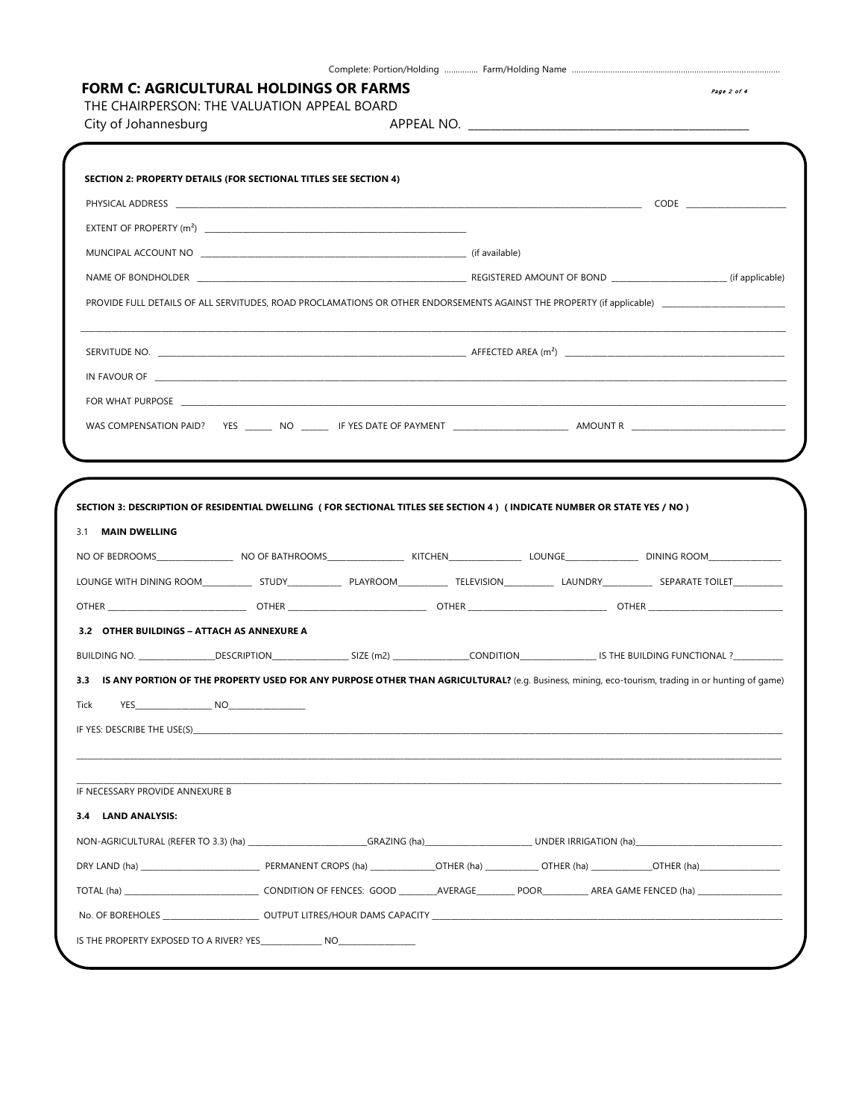| City of Johannesburg                                                                                                                                                                                                                                                                                                                                                                            |  |  |  |
|-------------------------------------------------------------------------------------------------------------------------------------------------------------------------------------------------------------------------------------------------------------------------------------------------------------------------------------------------------------------------------------------------|--|--|--|
| SECTION 2: PROPERTY DETAILS (FOR SECTIONAL TITLES SEE SECTION 4)                                                                                                                                                                                                                                                                                                                                |  |  |  |
|                                                                                                                                                                                                                                                                                                                                                                                                 |  |  |  |
|                                                                                                                                                                                                                                                                                                                                                                                                 |  |  |  |
|                                                                                                                                                                                                                                                                                                                                                                                                 |  |  |  |
|                                                                                                                                                                                                                                                                                                                                                                                                 |  |  |  |
|                                                                                                                                                                                                                                                                                                                                                                                                 |  |  |  |
|                                                                                                                                                                                                                                                                                                                                                                                                 |  |  |  |
| IN FAVOUR OF THE RESERVED OF THE RESERVED OF THE RESERVED OF THE RESERVED OF THE RESERVED OF THE RESERVED OF THE RESERVED OF THE RESERVED OF THE RESERVED OF THE RESERVED OF THE RESERVED OF THE RESERVED OF THE RESERVED OF T                                                                                                                                                                  |  |  |  |
|                                                                                                                                                                                                                                                                                                                                                                                                 |  |  |  |
|                                                                                                                                                                                                                                                                                                                                                                                                 |  |  |  |
|                                                                                                                                                                                                                                                                                                                                                                                                 |  |  |  |
|                                                                                                                                                                                                                                                                                                                                                                                                 |  |  |  |
|                                                                                                                                                                                                                                                                                                                                                                                                 |  |  |  |
|                                                                                                                                                                                                                                                                                                                                                                                                 |  |  |  |
| IS ANY PORTION OF THE PROPERTY USED FOR ANY PURPOSE OTHER THAN AGRICULTURAL? (e.g. Business, mining, eco-tourism, trading in or hunting of game)                                                                                                                                                                                                                                                |  |  |  |
| SECTION 3: DESCRIPTION OF RESIDENTIAL DWELLING (FOR SECTIONAL TITLES SEE SECTION 4) (INDICATE NUMBER OR STATE YES / NO)<br>3.1 MAIN DWELLING<br>3.2 OTHER BUILDINGS - ATTACH AS ANNEXURE A<br>BUILDING NO. ________________DESCRIPTION____________________SIZE (m2) ________________CONDITION______________________IS THE BUILDING FUNCTIONAL ?__________<br>3.3<br><b>Tick</b><br>YES<br>. NO_ |  |  |  |
|                                                                                                                                                                                                                                                                                                                                                                                                 |  |  |  |
|                                                                                                                                                                                                                                                                                                                                                                                                 |  |  |  |
| IF NECESSARY PROVIDE ANNEXURE B<br>3.4 LAND ANALYSIS:                                                                                                                                                                                                                                                                                                                                           |  |  |  |
|                                                                                                                                                                                                                                                                                                                                                                                                 |  |  |  |
|                                                                                                                                                                                                                                                                                                                                                                                                 |  |  |  |
| TOTAL (ha) ________________________________CONDITION OF FENCES: GOOD _________AVERAGE_________ POOR___________ AREA GAME FENCED (ha) __________________                                                                                                                                                                                                                                         |  |  |  |

Complete: Portion/Holding …….…….. Farm/Holding Name ……………………………………………………..…………………………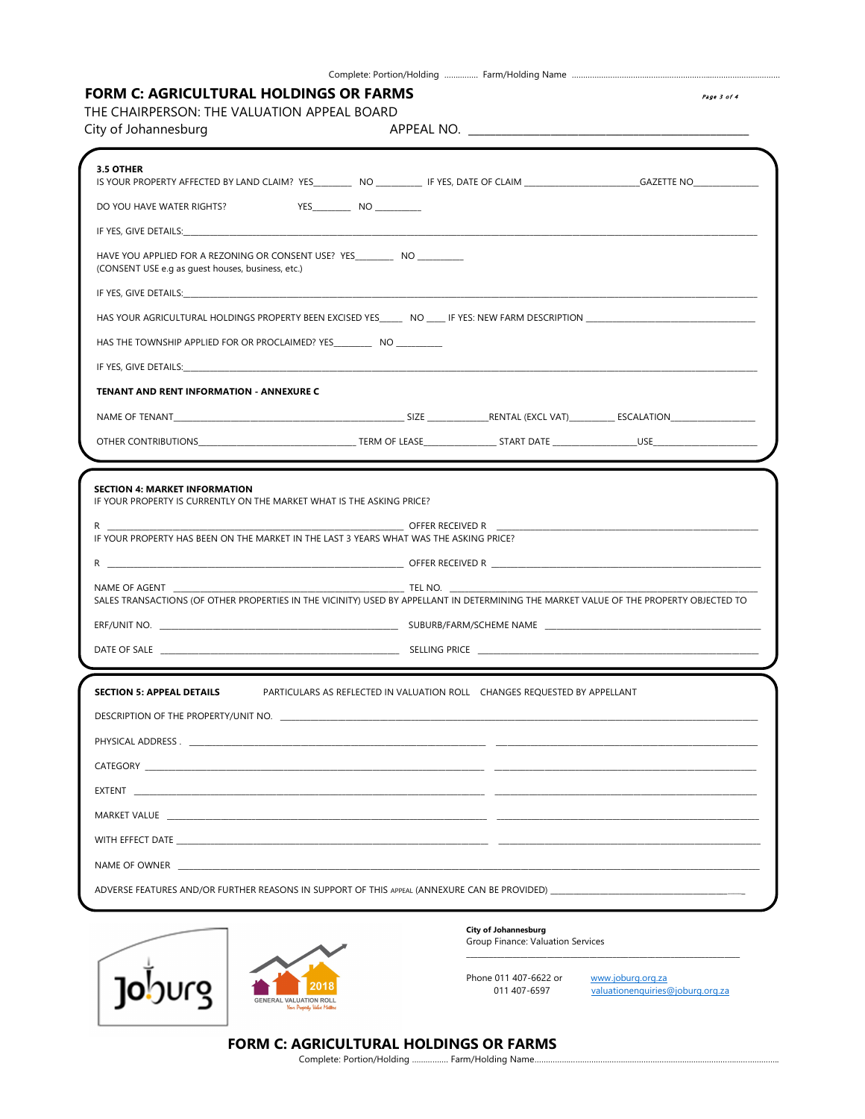## FORM C: AGRICULTURAL HOLDINGS OR FARMS **Page 3 of 4**  $P_{age 3 of 4}$

THE CHAIRPERSON: THE VALUATION APPEAL BOARD

| City of Johannesburg                                                                                                                                    |                                                                           |  |
|---------------------------------------------------------------------------------------------------------------------------------------------------------|---------------------------------------------------------------------------|--|
| 3.5 OTHER                                                                                                                                               |                                                                           |  |
|                                                                                                                                                         |                                                                           |  |
| DO YOU HAVE WATER RIGHTS?                                                                                                                               | YES NO                                                                    |  |
|                                                                                                                                                         |                                                                           |  |
| HAVE YOU APPLIED FOR A REZONING OR CONSENT USE? YES _________ NO __________<br>(CONSENT USE e.g as guest houses, business, etc.)                        |                                                                           |  |
|                                                                                                                                                         |                                                                           |  |
| HAS YOUR AGRICULTURAL HOLDINGS PROPERTY BEEN EXCISED YES NO THE YES: NEW FARM DESCRIPTION                                                               |                                                                           |  |
| HAS THE TOWNSHIP APPLIED FOR OR PROCLAIMED? YES ___________ NO ____________                                                                             |                                                                           |  |
|                                                                                                                                                         |                                                                           |  |
| TENANT AND RENT INFORMATION - ANNEXURE C                                                                                                                |                                                                           |  |
|                                                                                                                                                         |                                                                           |  |
|                                                                                                                                                         |                                                                           |  |
| <b>SECTION 4: MARKET INFORMATION</b><br>IF YOUR PROPERTY IS CURRENTLY ON THE MARKET WHAT IS THE ASKING PRICE?                                           |                                                                           |  |
|                                                                                                                                                         |                                                                           |  |
| IF YOUR PROPERTY HAS BEEN ON THE MARKET IN THE LAST 3 YEARS WHAT WAS THE ASKING PRICE?                                                                  |                                                                           |  |
|                                                                                                                                                         |                                                                           |  |
|                                                                                                                                                         |                                                                           |  |
| NAME OF AGENT<br>SALES TRANSACTIONS (OF OTHER PROPERTIES IN THE VICINITY) USED BY APPELLANT IN DETERMINING THE MARKET VALUE OF THE PROPERTY OBJECTED TO |                                                                           |  |
|                                                                                                                                                         |                                                                           |  |
|                                                                                                                                                         |                                                                           |  |
| <b>SECTION 5: APPEAL DETAILS</b>                                                                                                                        | PARTICULARS AS REFLECTED IN VALUATION ROLL CHANGES REQUESTED BY APPELLANT |  |
| DESCRIPTION OF THE PROPERTY/UNIT NO.                                                                                                                    |                                                                           |  |
|                                                                                                                                                         |                                                                           |  |
|                                                                                                                                                         |                                                                           |  |
|                                                                                                                                                         |                                                                           |  |
|                                                                                                                                                         |                                                                           |  |
|                                                                                                                                                         |                                                                           |  |
| NAME OF OWNER THE STATE OF STATE AND THE STATE OF STATE OF OWNER.                                                                                       |                                                                           |  |



### City of Johannesburg

Group Finance: Valuation Services